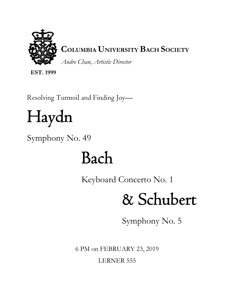

**COLUMBIA UNIVERSITY BACH SOCIETY** 

*Andre Chan, Artistic Director* 

**EST. 1999** 

Resolving Turmoil and Finding Joy—

# Haydn

Symphony No. 49

# Bach

Keyboard Concerto No. 1

# & Schubert

Symphony No. 5

6 PM on FEBRUARY 23, 2019 LERNER 555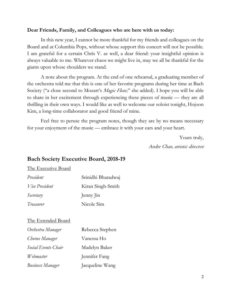## **Dear Friends, Family, and Colleagues who are here with us today:**

In this new year, I cannot be more thankful for my friends and colleagues on the Board and at Columbia Pops, without whose support this concert will not be possible. I am grateful for a certain Chris V. as well, a dear friend: your insightful opinion is always valuable to me. Whatever chaos we might live in, may we all be thankful for the giants upon whose shoulders we stand.

A note about the program. At the end of one rehearsal, a graduating member of the orchestra told me that this is one of her favorite programs during her time at Bach Society ("a close second to Mozart's *Magic Flute,*" she added). I hope you will be able to share in her excitement through experiencing these pieces of music — they are all thrilling in their own ways. I would like as well to welcome our soloist tonight, Hojoon Kim, a long-time collaborator and good friend of mine.

Feel free to peruse the program notes, though they are by no means necessary for your enjoyment of the music — embrace it with your ears and your heart.

> Yours truly, Andre Chan, artistic director

## **Bach Society Executive Board, 2018-19**

### The Executive Board

| President             | Srinidhi Bharadwaj<br>Kiran Singh-Smith<br>Jenny Jin |  |
|-----------------------|------------------------------------------------------|--|
| <i>Vice President</i> |                                                      |  |
| Secretary             |                                                      |  |
| Treasurer             | Nicole Sim                                           |  |

### The Extended Board

| Orchestra Manager       | Rebecca Stephen |  |
|-------------------------|-----------------|--|
| Chorus Manager          | Vanessa Ho      |  |
| Social Events Chair     | Madelyn Baker   |  |
| Webmaster               | Jennifer Fang   |  |
| <b>Business Manager</b> | Jacqueline Wang |  |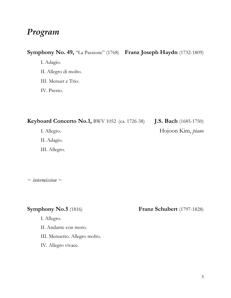## *Program*

## **Symphony No. 49,** "La Passione" (1768) **Franz Joseph Haydn** (1732-1809)

I. Adagio.

II. Allegro di molto.

III. Menuet e Trio.

IV. Presto.

**Keyboard Concerto No.1,** BWV 1052 (ca. 1726-38) **J.S. Bach** (1685-1750)

I. Allegro. Hojoon Kim, *piano* 

II. Adagio.

III. Allegro.

*~ intermission ~* 

I. Allegro.

II. Andante con moto.

III. Menuetto. Allegro molto.

IV. Allegro vivace.

**Symphony No.5** (1816) **Franz Schubert** (1797-1828)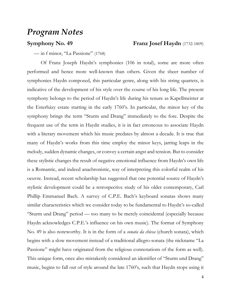## *Program Notes*

**Symphony No. 49 Franz Josef Haydn** (1732-1809)

— in f minor, "La Passione" (1768)

Of Franz Joseph Haydn's symphonies (106 in total), some are more often performed and hence more well-known than others. Given the sheer number of symphonies Haydn composed, this particular genre, along with his string quartets, is indicative of the development of his style over the course of his long life. The present symphony belongs to the period of Haydn's life during his tenure as Kapellmeister at the Esterházy estate starting in the early 1760's. In particular, the minor key of the symphony brings the term "Sturm und Drang" immediately to the fore. Despite the frequent use of the term in Haydn studies, it is in fact erroneous to associate Haydn with a literary movement which his music predates by almost a decade. It is true that many of Haydn's works from this time employ the minor keys, jarring leaps in the melody, sudden dynamic changes, or convey a certain angst and tension. But to consider these stylistic changes the result of negative emotional influence from Haydn's own life is a Romantic, and indeed anachronistic, way of interpreting this colorful realm of his oeuvre. Instead, recent scholarship has suggested that one potential source of Haydn's stylistic development could be a retrospective study of his older contemporary, Carl Phillip Emmanuel Bach. A survey of C.P.E. Bach's keyboard sonatas shows many similar characteristics which we consider today to be fundamental to Haydn's so-called "Sturm und Drang" period — too many to be merely coincidental (especially because Haydn acknowledges C.P.E.'s influence on his own music). The format of Symphony No. 49 is also noteworthy. It is in the form of a *sonata da chiesa* (church sonata), which begins with a slow movement instead of a traditional allegro-sonata (the nickname "La Passione" might have originated from the religious connotations of the form as well). This unique form, once also mistakenly considered an identifier of "Sturm und Drang" music, begins to fall out of style around the late 1760's, such that Haydn stops using it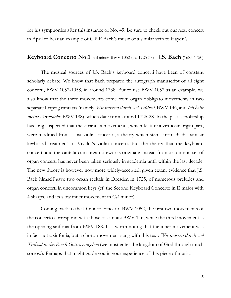for his symphonies after this instance of No. 49. Be sure to check out our next concert in April to hear an example of C.P.E Bach's music of a similar vein to Haydn's.

## **Keyboard Concerto No.1** in d minor, BWV 1052 (ca. 1725-38) **J.S. Bach** (1685-1750)

The musical sources of J.S. Bach's keyboard concerti have been of constant scholarly debate. We know that Bach prepared the autograph manuscript of all eight concerti, BWV 1052-1058, in around 1738. But to use BWV 1052 as an example, we also know that the three movements come from organ obbligato movements in two separate Leipzig cantatas (namely *Wir müssen durch viel Trübsal*, BWV 146, and *Ich habe* meine Zuversicht, BWV 188), which date from around 1726-28. In the past, scholarship has long suspected that these cantata movements, which feature a virtuosic organ part, were modified from a lost violin concerto, a theory which stems from Bach's similar keyboard treatment of Vivaldi's violin concerti. But the theory that the keyboard concerti and the cantata-cum-organ fireworks originate instead from a common set of organ concerti has never been taken seriously in academia until within the last decade. The new theory is however now more widely-accepted, given extant evidence that J.S. Bach himself gave two organ recitals in Dresden in 1725, of numerous preludes and organ concerti in uncommon keys (cf. the Second Keyboard Concerto in E major with 4 sharps, and its slow inner movement in C# minor).

Coming back to the D-minor concerto BWV 1052, the first two movements of the concerto correspond with those of cantata BWV 146, while the third movement is the opening sinfonia from BWV 188. It is worth noting that the inner movement was in fact not a sinfonia, but a choral movement sung with this text: Wir müssen durch viel Trübsal in das Reich Gottes eingehen (we must enter the kingdom of God through much sorrow). Perhaps that might guide you in your experience of this piece of music.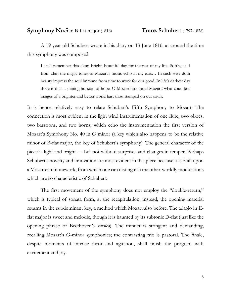A 19-year-old Schubert wrote in his diary on 13 June 1816, at around the time this symphony was composed:

I shall remember this clear, bright, beautiful day for the rest of my life. Softly, as if from afar, the magic tones of Mozart's music echo in my ears… In such wise doth beauty impress the soul immune from time to work for our good. In life's darkest day there is thus a shining horizon of hope. O Mozart! immortal Mozart! what countless images of a brighter and better world hast thou stamped on our souls.

It is hence relatively easy to relate Schubert's Fifth Symphony to Mozart. The connection is most evident in the light wind instrumentation of one flute, two oboes, two bassoons, and two horns, which echo the instrumentation the first version of Mozart's Symphony No. 40 in G minor (a key which also happens to be the relative minor of B-flat major, the key of Schubert's symphony). The general character of the piece is light and bright — but not without surprises and changes in temper. Perhaps Schubert's novelty and innovation are most evident in this piece because it is built upon a Mozartean framework, from which one can distinguish the other-worldly modulations which are so characteristic of Schubert.

The first movement of the symphony does not employ the "double-return," which is typical of sonata form, at the recapitulation; instead, the opening material returns in the subdominant key, a method which Mozart also before. The adagio in Eflat major is sweet and melodic, though it is haunted by its subtonic D-flat (just like the opening phrase of Beethoven's *Eroica*). The minuet is stringent and demanding, recalling Mozart's G-minor symphonies; the contrasting trio is pastoral. The finale, despite moments of intense furor and agitation, shall finish the program with excitement and joy.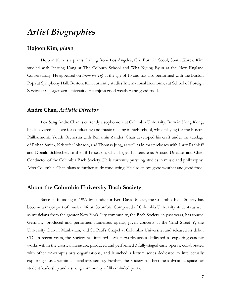# *Artist Biographies*

## **Hojoon Kim,** *piano*

Hojoon Kim is a pianist hailing from Los Angeles, CA. Born in Seoul, South Korea, Kim studied with Jeesung Kang at The Colburn School and Wha Kyung Byun at the New England Conservatory. He appeared on *From the Top* at the age of 13 and has also performed with the Boston Pops at Symphony Hall, Boston. Kim currently studies International Economics at School of Foreign Service at Georgetown University. He enjoys good weather and good food.

### **Andre Chan,** *Artistic Director*

Lok Sang Andre Chan is currently a sophomore at Columbia University. Born in Hong Kong, he discovered his love for conducting and music-making in high school, while playing for the Boston Philharmonic Youth Orchestra with Benjamin Zander. Chan developed his craft under the tutelage of Rohan Smith, Kristofer Johnson, and Thomas Jung, as well as in masterclasses with Larry Rachleff and Donald Schleicher. In the 18-19 season, Chan began his tenure as Artistic Director and Chief Conductor of the Columbia Bach Society. He is currently pursuing studies in music and philosophy. After Columbia, Chan plans to further study conducting. He also enjoys good weather and good food.

## **About the Columbia University Bach Society**

Since its founding in 1999 by conductor Ken-David Masur, the Columbia Bach Society has become a major part of musical life at Columbia. Composed of Columbia University students as well as musicians from the greater New York City community, the Bach Society, in past years, has toured Germany, produced and performed numerous operas, given concerts at the 92nd Street Y, the University Club in Manhattan, and St. Paul's Chapel at Columbia University, and released its debut CD. In recent years, the Society has initiated a Masterworks series dedicated to exploring canonic works within the classical literature, produced and performed 3 fully-staged early operas, collaborated with other on-campus arts organizations, and launched a lecture series dedicated to intellectually exploring music within a liberal-arts setting. Further, the Society has become a dynamic space for student leadership and a strong community of like-minded peers.